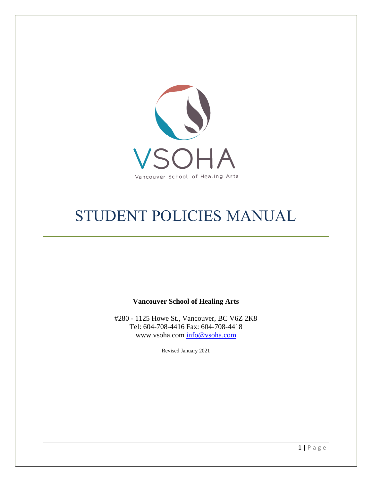

# STUDENT POLICIES MANUAL

**Vancouver School of Healing Arts**

#280 - 1125 Howe St., Vancouver, BC V6Z 2K8 Tel: 604-708-4416 Fax: 604-708-4418 www.vsoha.com info@vsoha.com

Revised January 2021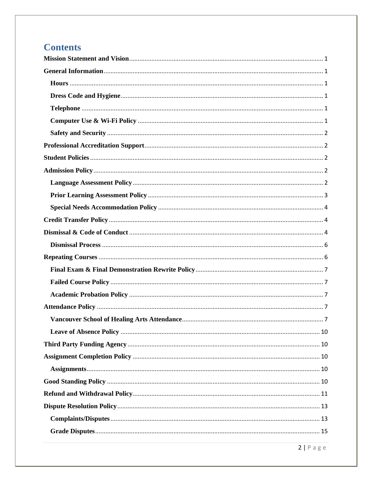## **Contents**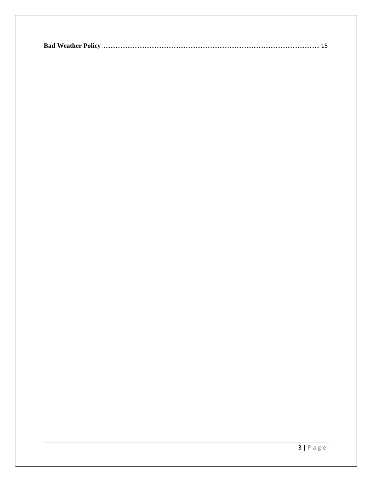|--|--|--|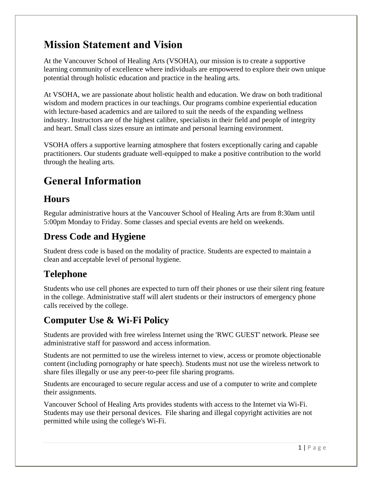## <span id="page-3-0"></span>**Mission Statement and Vision**

At the Vancouver School of Healing Arts (VSOHA), our mission is to create a supportive learning community of excellence where individuals are empowered to explore their own unique potential through holistic education and practice in the healing arts.

At VSOHA, we are passionate about holistic health and education. We draw on both traditional wisdom and modern practices in our teachings. Our programs combine experiential education with lecture-based academics and are tailored to suit the needs of the expanding wellness industry. Instructors are of the highest calibre, specialists in their field and people of integrity and heart. Small class sizes ensure an intimate and personal learning environment.

VSOHA offers a supportive learning atmosphere that fosters exceptionally caring and capable practitioners. Our students graduate well-equipped to make a positive contribution to the world through the healing arts.

# <span id="page-3-1"></span>**General Information**

#### <span id="page-3-2"></span>**Hours**

Regular administrative hours at the Vancouver School of Healing Arts are from 8:30am until 5:00pm Monday to Friday. Some classes and special events are held on weekends.

## <span id="page-3-3"></span>**Dress Code and Hygiene**

Student dress code is based on the modality of practice. Students are expected to maintain a clean and acceptable level of personal hygiene.

### <span id="page-3-4"></span>**Telephone**

Students who use cell phones are expected to turn off their phones or use their silent ring feature in the college. Administrative staff will alert students or their instructors of emergency phone calls received by the college.

## <span id="page-3-5"></span>**Computer Use & Wi-Fi Policy**

Students are provided with free wireless Internet using the 'RWC GUEST' network. Please see administrative staff for password and access information.

Students are not permitted to use the wireless internet to view, access or promote objectionable content (including pornography or hate speech). Students must not use the wireless network to share files illegally or use any peer-to-peer file sharing programs.

Students are encouraged to secure regular access and use of a computer to write and complete their assignments.

Vancouver School of Healing Arts provides students with access to the Internet via Wi-Fi. Students may use their personal devices. File sharing and illegal copyright activities are not permitted while using the college's Wi-Fi.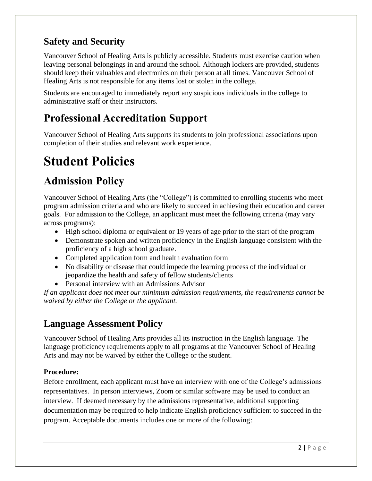#### <span id="page-4-0"></span>**Safety and Security**

Vancouver School of Healing Arts is publicly accessible. Students must exercise caution when leaving personal belongings in and around the school. Although lockers are provided, students should keep their valuables and electronics on their person at all times. Vancouver School of Healing Arts is not responsible for any items lost or stolen in the college.

Students are encouraged to immediately report any suspicious individuals in the college to administrative staff or their instructors.

## <span id="page-4-1"></span>**Professional Accreditation Support**

Vancouver School of Healing Arts supports its students to join professional associations upon completion of their studies and relevant work experience.

# <span id="page-4-2"></span>**Student Policies**

# <span id="page-4-3"></span>**Admission Policy**

Vancouver School of Healing Arts (the "College") is committed to enrolling students who meet program admission criteria and who are likely to succeed in achieving their education and career goals. For admission to the College, an applicant must meet the following criteria (may vary across programs):

- High school diploma or equivalent or 19 years of age prior to the start of the program
- Demonstrate spoken and written proficiency in the English language consistent with the proficiency of a high school graduate.
- Completed application form and health evaluation form
- No disability or disease that could impede the learning process of the individual or jeopardize the health and safety of fellow students/clients
- Personal interview with an Admissions Advisor

*If an applicant does not meet our minimum admission requirements, the requirements cannot be waived by either the College or the applicant.*

#### <span id="page-4-4"></span>**Language Assessment Policy**

Vancouver School of Healing Arts provides all its instruction in the English language. The language proficiency requirements apply to all programs at the Vancouver School of Healing Arts and may not be waived by either the College or the student.

#### **Procedure:**

Before enrollment, each applicant must have an interview with one of the College's admissions representatives. In person interviews, Zoom or similar software may be used to conduct an interview. If deemed necessary by the admissions representative, additional supporting documentation may be required to help indicate English proficiency sufficient to succeed in the program. Acceptable documents includes one or more of the following: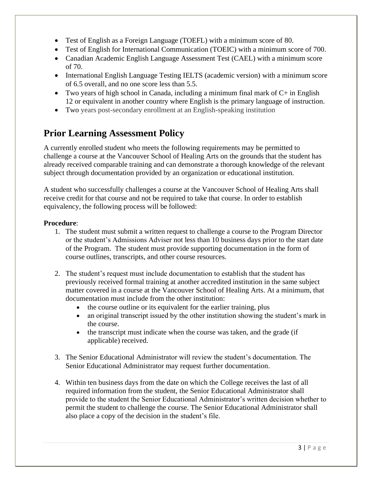- Test of English as a Foreign Language (TOEFL) with a minimum score of 80.
- Test of English for International Communication (TOEIC) with a minimum score of 700.
- Canadian Academic English Language Assessment Test (CAEL) with a minimum score of 70.
- International English Language Testing IELTS (academic version) with a minimum score of 6.5 overall, and no one score less than 5.5.
- Two years of high school in Canada, including a minimum final mark of  $C+$  in English 12 or equivalent in another country where English is the primary language of instruction.
- Two years post-secondary enrollment at an English-speaking institution

#### <span id="page-5-0"></span>**Prior Learning Assessment Policy**

A currently enrolled student who meets the following requirements may be permitted to challenge a course at the Vancouver School of Healing Arts on the grounds that the student has already received comparable training and can demonstrate a thorough knowledge of the relevant subject through documentation provided by an organization or educational institution.

A student who successfully challenges a course at the Vancouver School of Healing Arts shall receive credit for that course and not be required to take that course. In order to establish equivalency, the following process will be followed:

#### **Procedure**:

- 1. The student must submit a written request to challenge a course to the Program Director or the student's Admissions Adviser not less than 10 business days prior to the start date of the Program. The student must provide supporting documentation in the form of course outlines, transcripts, and other course resources.
- 2. The student's request must include documentation to establish that the student has previously received formal training at another accredited institution in the same subject matter covered in a course at the Vancouver School of Healing Arts. At a minimum, that documentation must include from the other institution:
	- the course outline or its equivalent for the earlier training, plus
	- an original transcript issued by the other institution showing the student's mark in the course.
	- the transcript must indicate when the course was taken, and the grade (if applicable) received.
- 3. The Senior Educational Administrator will review the student's documentation. The Senior Educational Administrator may request further documentation.
- 4. Within ten business days from the date on which the College receives the last of all required information from the student, the Senior Educational Administrator shall provide to the student the Senior Educational Administrator's written decision whether to permit the student to challenge the course. The Senior Educational Administrator shall also place a copy of the decision in the student's file.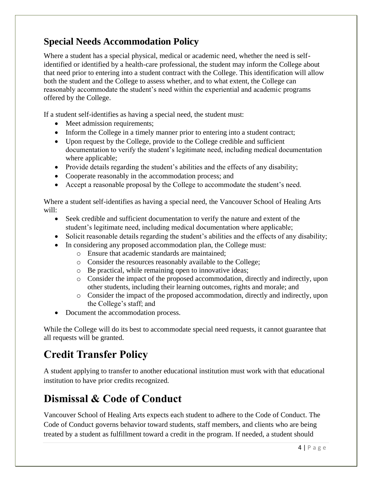#### <span id="page-6-0"></span>**Special Needs Accommodation Policy**

Where a student has a special physical, medical or academic need, whether the need is selfidentified or identified by a health-care professional, the student may inform the College about that need prior to entering into a student contract with the College. This identification will allow both the student and the College to assess whether, and to what extent, the College can reasonably accommodate the student's need within the experiential and academic programs offered by the College.

If a student self-identifies as having a special need, the student must:

- Meet admission requirements;
- Inform the College in a timely manner prior to entering into a student contract;
- Upon request by the College, provide to the College credible and sufficient documentation to verify the student's legitimate need, including medical documentation where applicable;
- Provide details regarding the student's abilities and the effects of any disability;
- Cooperate reasonably in the accommodation process; and
- Accept a reasonable proposal by the College to accommodate the student's need.

Where a student self-identifies as having a special need, the Vancouver School of Healing Arts will:

- Seek credible and sufficient documentation to verify the nature and extent of the student's legitimate need, including medical documentation where applicable;
- Solicit reasonable details regarding the student's abilities and the effects of any disability;
- In considering any proposed accommodation plan, the College must:
	- o Ensure that academic standards are maintained;
	- o Consider the resources reasonably available to the College;
	- o Be practical, while remaining open to innovative ideas;
	- o Consider the impact of the proposed accommodation, directly and indirectly, upon other students, including their learning outcomes, rights and morale; and
	- o Consider the impact of the proposed accommodation, directly and indirectly, upon the College's staff; and
- Document the accommodation process.

While the College will do its best to accommodate special need requests, it cannot guarantee that all requests will be granted.

## <span id="page-6-1"></span>**Credit Transfer Policy**

A student applying to transfer to another educational institution must work with that educational institution to have prior credits recognized.

## <span id="page-6-2"></span>**Dismissal & Code of Conduct**

Vancouver School of Healing Arts expects each student to adhere to the Code of Conduct. The Code of Conduct governs behavior toward students, staff members, and clients who are being treated by a student as fulfillment toward a credit in the program. If needed, a student should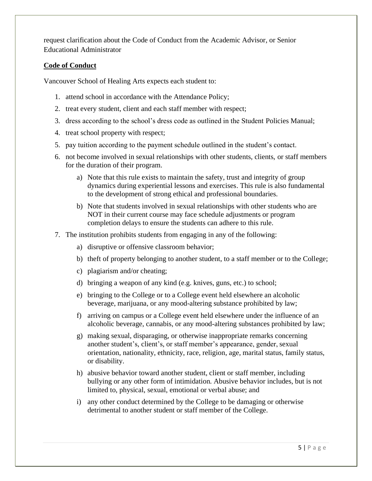request clarification about the Code of Conduct from the Academic Advisor, or Senior Educational Administrator

#### **Code of Conduct**

Vancouver School of Healing Arts expects each student to:

- 1. attend school in accordance with the Attendance Policy;
- 2. treat every student, client and each staff member with respect;
- 3. dress according to the school's dress code as outlined in the Student Policies Manual;
- 4. treat school property with respect;
- 5. pay tuition according to the payment schedule outlined in the student's contact.
- 6. not become involved in sexual relationships with other students, clients, or staff members for the duration of their program.
	- a) Note that this rule exists to maintain the safety, trust and integrity of group dynamics during experiential lessons and exercises. This rule is also fundamental to the development of strong ethical and professional boundaries.
	- b) Note that students involved in sexual relationships with other students who are NOT in their current course may face schedule adjustments or program completion delays to ensure the students can adhere to this rule.
- 7. The institution prohibits students from engaging in any of the following:
	- a) disruptive or offensive classroom behavior;
	- b) theft of property belonging to another student, to a staff member or to the College;
	- c) plagiarism and/or cheating;
	- d) bringing a weapon of any kind (e.g. knives, guns, etc.) to school;
	- e) bringing to the College or to a College event held elsewhere an alcoholic beverage, marijuana, or any mood-altering substance prohibited by law;
	- f) arriving on campus or a College event held elsewhere under the influence of an alcoholic beverage, cannabis, or any mood-altering substances prohibited by law;
	- g) making sexual, disparaging, or otherwise inappropriate remarks concerning another student's, client's, or staff member's appearance, gender, sexual orientation, nationality, ethnicity, race, religion, age, marital status, family status, or disability.
	- h) abusive behavior toward another student, client or staff member, including bullying or any other form of intimidation. Abusive behavior includes, but is not limited to, physical, sexual, emotional or verbal abuse; and
	- i) any other conduct determined by the College to be damaging or otherwise detrimental to another student or staff member of the College.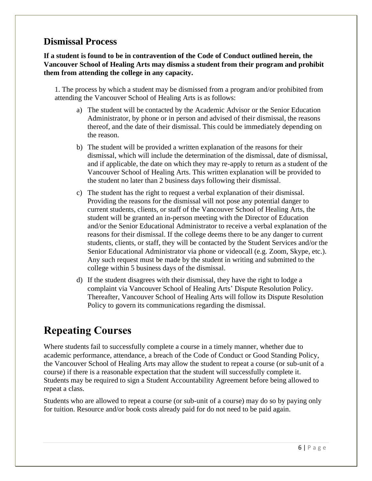#### <span id="page-8-0"></span>**Dismissal Process**

**If a student is found to be in contravention of the Code of Conduct outlined herein, the Vancouver School of Healing Arts may dismiss a student from their program and prohibit them from attending the college in any capacity.** 

1. The process by which a student may be dismissed from a program and/or prohibited from attending the Vancouver School of Healing Arts is as follows:

- a) The student will be contacted by the Academic Advisor or the Senior Education Administrator, by phone or in person and advised of their dismissal, the reasons thereof, and the date of their dismissal. This could be immediately depending on the reason.
- b) The student will be provided a written explanation of the reasons for their dismissal, which will include the determination of the dismissal, date of dismissal, and if applicable, the date on which they may re-apply to return as a student of the Vancouver School of Healing Arts. This written explanation will be provided to the student no later than 2 business days following their dismissal.
- c) The student has the right to request a verbal explanation of their dismissal. Providing the reasons for the dismissal will not pose any potential danger to current students, clients, or staff of the Vancouver School of Healing Arts, the student will be granted an in-person meeting with the Director of Education and/or the Senior Educational Administrator to receive a verbal explanation of the reasons for their dismissal. If the college deems there to be any danger to current students, clients, or staff, they will be contacted by the Student Services and/or the Senior Educational Administrator via phone or videocall (e.g. Zoom, Skype, etc.). Any such request must be made by the student in writing and submitted to the college within 5 business days of the dismissal.
- d) If the student disagrees with their dismissal, they have the right to lodge a complaint via Vancouver School of Healing Arts' Dispute Resolution Policy. Thereafter, Vancouver School of Healing Arts will follow its Dispute Resolution Policy to govern its communications regarding the dismissal.

## <span id="page-8-1"></span>**Repeating Courses**

Where students fail to successfully complete a course in a timely manner, whether due to academic performance, attendance, a breach of the Code of Conduct or Good Standing Policy, the Vancouver School of Healing Arts may allow the student to repeat a course (or sub-unit of a course) if there is a reasonable expectation that the student will successfully complete it. Students may be required to sign a Student Accountability Agreement before being allowed to repeat a class.

Students who are allowed to repeat a course (or sub-unit of a course) may do so by paying only for tuition. Resource and/or book costs already paid for do not need to be paid again.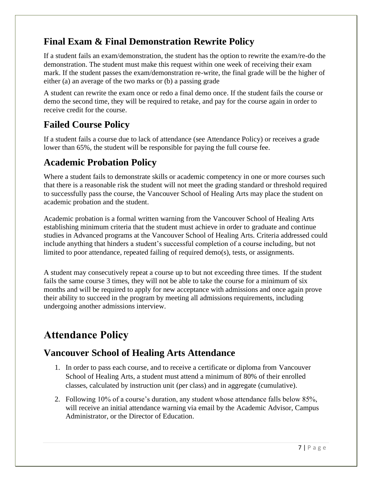#### <span id="page-9-0"></span>**Final Exam & Final Demonstration Rewrite Policy**

If a student fails an exam/demonstration, the student has the option to rewrite the exam/re-do the demonstration. The student must make this request within one week of receiving their exam mark. If the student passes the exam/demonstration re-write, the final grade will be the higher of either (a) an average of the two marks or (b) a passing grade

A student can rewrite the exam once or redo a final demo once. If the student fails the course or demo the second time, they will be required to retake, and pay for the course again in order to receive credit for the course.

#### <span id="page-9-1"></span>**Failed Course Policy**

If a student fails a course due to lack of attendance (see Attendance Policy) or receives a grade lower than 65%, the student will be responsible for paying the full course fee.

#### <span id="page-9-2"></span>**Academic Probation Policy**

Where a student fails to demonstrate skills or academic competency in one or more courses such that there is a reasonable risk the student will not meet the grading standard or threshold required to successfully pass the course, the Vancouver School of Healing Arts may place the student on academic probation and the student.

Academic probation is a formal written warning from the Vancouver School of Healing Arts establishing minimum criteria that the student must achieve in order to graduate and continue studies in Advanced programs at the Vancouver School of Healing Arts. Criteria addressed could include anything that hinders a student's successful completion of a course including, but not limited to poor attendance, repeated failing of required demo(s), tests, or assignments.

A student may consecutively repeat a course up to but not exceeding three times. If the student fails the same course 3 times, they will not be able to take the course for a minimum of six months and will be required to apply for new acceptance with admissions and once again prove their ability to succeed in the program by meeting all admissions requirements, including undergoing another admissions interview.

## <span id="page-9-3"></span>**Attendance Policy**

#### <span id="page-9-4"></span>**Vancouver School of Healing Arts Attendance**

- 1. In order to pass each course, and to receive a certificate or diploma from Vancouver School of Healing Arts, a student must attend a minimum of 80% of their enrolled classes, calculated by instruction unit (per class) and in aggregate (cumulative).
- 2. Following 10% of a course's duration, any student whose attendance falls below 85%, will receive an initial attendance warning via email by the Academic Advisor, Campus Administrator, or the Director of Education.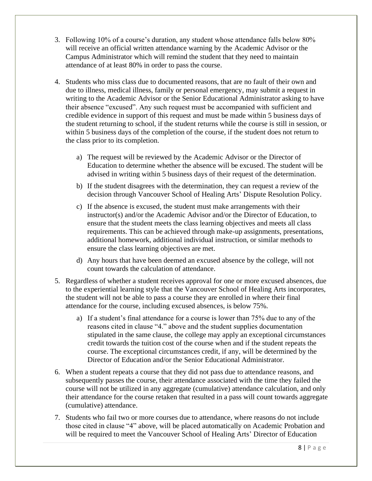- 3. Following 10% of a course's duration, any student whose attendance falls below 80% will receive an official written attendance warning by the Academic Advisor or the Campus Administrator which will remind the student that they need to maintain attendance of at least 80% in order to pass the course.
- 4. Students who miss class due to documented reasons, that are no fault of their own and due to illness, medical illness, family or personal emergency, may submit a request in writing to the Academic Advisor or the Senior Educational Administrator asking to have their absence "excused". Any such request must be accompanied with sufficient and credible evidence in support of this request and must be made within 5 business days of the student returning to school, if the student returns while the course is still in session, or within 5 business days of the completion of the course, if the student does not return to the class prior to its completion.
	- a) The request will be reviewed by the Academic Advisor or the Director of Education to determine whether the absence will be excused. The student will be advised in writing within 5 business days of their request of the determination.
	- b) If the student disagrees with the determination, they can request a review of the decision through Vancouver School of Healing Arts' Dispute Resolution Policy.
	- c) If the absence is excused, the student must make arrangements with their instructor(s) and/or the Academic Advisor and/or the Director of Education, to ensure that the student meets the class learning objectives and meets all class requirements. This can be achieved through make-up assignments, presentations, additional homework, additional individual instruction, or similar methods to ensure the class learning objectives are met.
	- d) Any hours that have been deemed an excused absence by the college, will not count towards the calculation of attendance.
- 5. Regardless of whether a student receives approval for one or more excused absences, due to the experiential learning style that the Vancouver School of Healing Arts incorporates, the student will not be able to pass a course they are enrolled in where their final attendance for the course, including excused absences, is below 75%.
	- a) If a student's final attendance for a course is lower than 75% due to any of the reasons cited in clause "4." above and the student supplies documentation stipulated in the same clause, the college may apply an exceptional circumstances credit towards the tuition cost of the course when and if the student repeats the course. The exceptional circumstances credit, if any, will be determined by the Director of Education and/or the Senior Educational Administrator.
- 6. When a student repeats a course that they did not pass due to attendance reasons, and subsequently passes the course, their attendance associated with the time they failed the course will not be utilized in any aggregate (cumulative) attendance calculation, and only their attendance for the course retaken that resulted in a pass will count towards aggregate (cumulative) attendance.
- 7. Students who fail two or more courses due to attendance, where reasons do not include those cited in clause "4" above, will be placed automatically on Academic Probation and will be required to meet the Vancouver School of Healing Arts' Director of Education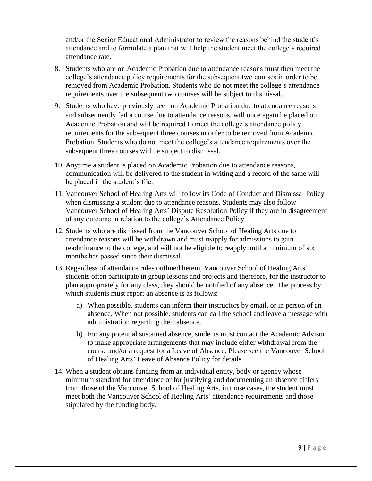and/or the Senior Educational Administrator to review the reasons behind the student's attendance and to formulate a plan that will help the student meet the college's required attendance rate.

- 8. Students who are on Academic Probation due to attendance reasons must then meet the college's attendance policy requirements for the subsequent two courses in order to be removed from Academic Probation. Students who do not meet the college's attendance requirements over the subsequent two courses will be subject to dismissal.
- 9. Students who have previously been on Academic Probation due to attendance reasons and subsequently fail a course due to attendance reasons, will once again be placed on Academic Probation and will be required to meet the college's attendance policy requirements for the subsequent three courses in order to be removed from Academic Probation. Students who do not meet the college's attendance requirements over the subsequent three courses will be subject to dismissal.
- 10. Anytime a student is placed on Academic Probation due to attendance reasons, communication will be delivered to the student in writing and a record of the same will be placed in the student's file.
- 11. Vancouver School of Healing Arts will follow its Code of Conduct and Dismissal Policy when dismissing a student due to attendance reasons. Students may also follow Vancouver School of Healing Arts' Dispute Resolution Policy if they are in disagreement of any outcome in relation to the college's Attendance Policy.
- 12. Students who are dismissed from the Vancouver School of Healing Arts due to attendance reasons will be withdrawn and must reapply for admissions to gain readmittance to the college, and will not be eligible to reapply until a minimum of six months has passed since their dismissal.
- 13. Regardless of attendance rules outlined herein, Vancouver School of Healing Arts' students often participate in group lessons and projects and therefore, for the instructor to plan appropriately for any class, they should be notified of any absence. The process by which students must report an absence is as follows:
	- a) When possible, students can inform their instructors by email, or in person of an absence. When not possible, students can call the school and leave a message with administration regarding their absence.
	- b) For any potential sustained absence, students must contact the Academic Advisor to make appropriate arrangements that may include either withdrawal from the course and/or a request for a Leave of Absence. Please see the Vancouver School of Healing Arts' Leave of Absence Policy for details.
- 14. When a student obtains funding from an individual entity, body or agency whose minimum standard for attendance or for justifying and documenting an absence differs from those of the Vancouver School of Healing Arts, in those cases, the student must meet both the Vancouver School of Healing Arts' attendance requirements and those stipulated by the funding body.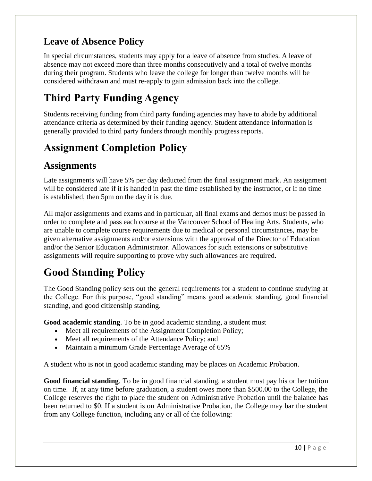#### <span id="page-12-0"></span>**Leave of Absence Policy**

In special circumstances, students may apply for a leave of absence from studies. A leave of absence may not exceed more than three months consecutively and a total of twelve months during their program. Students who leave the college for longer than twelve months will be considered withdrawn and must re-apply to gain admission back into the college.

## <span id="page-12-1"></span>**Third Party Funding Agency**

Students receiving funding from third party funding agencies may have to abide by additional attendance criteria as determined by their funding agency. Student attendance information is generally provided to third party funders through monthly progress reports.

## <span id="page-12-2"></span>**Assignment Completion Policy**

#### <span id="page-12-3"></span>**Assignments**

Late assignments will have 5% per day deducted from the final assignment mark. An assignment will be considered late if it is handed in past the time established by the instructor, or if no time is established, then 5pm on the day it is due.

All major assignments and exams and in particular, all final exams and demos must be passed in order to complete and pass each course at the Vancouver School of Healing Arts. Students, who are unable to complete course requirements due to medical or personal circumstances, may be given alternative assignments and/or extensions with the approval of the Director of Education and/or the Senior Education Administrator. Allowances for such extensions or substitutive assignments will require supporting to prove why such allowances are required.

## <span id="page-12-4"></span>**Good Standing Policy**

The Good Standing policy sets out the general requirements for a student to continue studying at the College. For this purpose, "good standing" means good academic standing, good financial standing, and good citizenship standing.

**Good academic standing**. To be in good academic standing, a student must

- Meet all requirements of the Assignment Completion Policy;
- Meet all requirements of the Attendance Policy; and
- Maintain a minimum Grade Percentage Average of 65%

A student who is not in good academic standing may be places on Academic Probation.

**Good financial standing**. To be in good financial standing, a student must pay his or her tuition on time. If, at any time before graduation, a student owes more than \$500.00 to the College, the College reserves the right to place the student on Administrative Probation until the balance has been returned to \$0. If a student is on Administrative Probation, the College may bar the student from any College function, including any or all of the following: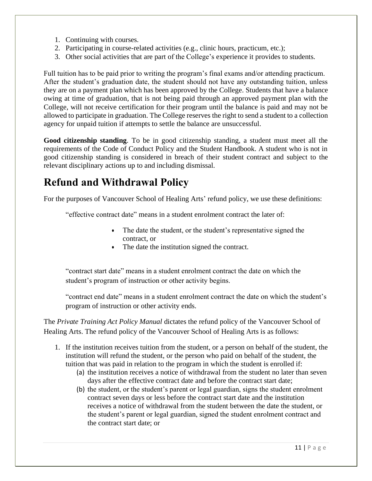- 1. Continuing with courses.
- 2. Participating in course-related activities (e.g., clinic hours, practicum, etc.);
- 3. Other social activities that are part of the College's experience it provides to students.

Full tuition has to be paid prior to writing the program's final exams and/or attending practicum. After the student's graduation date, the student should not have any outstanding tuition, unless they are on a payment plan which has been approved by the College. Students that have a balance owing at time of graduation, that is not being paid through an approved payment plan with the College, will not receive certification for their program until the balance is paid and may not be allowed to participate in graduation. The College reserves the right to send a student to a collection agency for unpaid tuition if attempts to settle the balance are unsuccessful.

**Good citizenship standing**. To be in good citizenship standing, a student must meet all the requirements of the Code of Conduct Policy and the Student Handbook. A student who is not in good citizenship standing is considered in breach of their student contract and subject to the relevant disciplinary actions up to and including dismissal.

## <span id="page-13-0"></span>**Refund and Withdrawal Policy**

For the purposes of Vancouver School of Healing Arts' refund policy, we use these definitions:

"effective contract date" means in a student enrolment contract the later of:

- The date the student, or the student's representative signed the contract, or
- The date the institution signed the contract.

"contract start date" means in a student enrolment contract the date on which the student's program of instruction or other activity begins.

"contract end date" means in a student enrolment contract the date on which the student's program of instruction or other activity ends.

The *Private Training Act Policy Manual* dictates the refund policy of the Vancouver School of Healing Arts. The refund policy of the Vancouver School of Healing Arts is as follows:

- 1. If the institution receives tuition from the student, or a person on behalf of the student, the institution will refund the student, or the person who paid on behalf of the student, the tuition that was paid in relation to the program in which the student is enrolled if:
	- (a) the institution receives a notice of withdrawal from the student no later than seven days after the effective contract date and before the contract start date;
	- (b) the student, or the student's parent or legal guardian, signs the student enrolment contract seven days or less before the contract start date and the institution receives a notice of withdrawal from the student between the date the student, or the student's parent or legal guardian, signed the student enrolment contract and the contract start date; or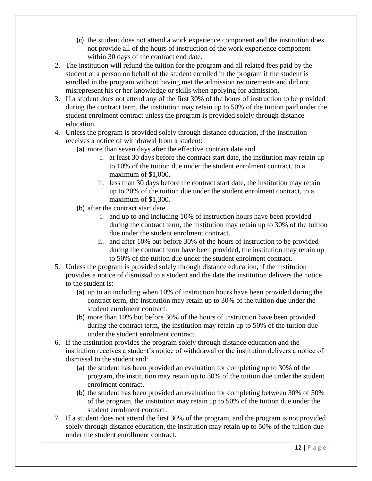- (c) the student does not attend a work experience component and the institution does not provide all of the hours of instruction of the work experience component within 30 days of the contract end date.
- 2. The institution will refund the tuition for the program and all related fees paid by the student or a person on behalf of the student enrolled in the program if the student is enrolled in the program without having met the admission requirements and did not misrepresent his or her knowledge or skills when applying for admission.
- 3. If a student does not attend any of the first 30% of the hours of instruction to be provided during the contract term, the institution may retain up to 50% of the tuition paid under the student enrolment contract unless the program is provided solely through distance education.
- 4. Unless the program is provided solely through distance education, if the institution receives a notice of withdrawal from a student:
	- (a) more than seven days after the effective contract date and
		- i. at least 30 days before the contract start date, the institution may retain up to 10% of the tuition due under the student enrolment contract, to a maximum of \$1,000.
		- ii. less than 30 days before the contract start date, the institution may retain up to 20% of the tuition due under the student enrolment contract, to a maximum of \$1,300.
	- (b) after the contract start date
		- i. and up to and including 10% of instruction hours have been provided during the contract term, the institution may retain up to 30% of the tuition due under the student enrolment contract.
		- ii. and after 10% but before 30% of the hours of instruction to be provided during the contract term have been provided, the institution may retain up to 50% of the tuition due under the student enrolment contract.
- 5. Unless the program is provided solely through distance education, if the institution provides a notice of dismissal to a student and the date the institution delivers the notice to the student is:
	- (a) up to an including when 10% of instruction hours have been provided during the contract term, the institution may retain up to 30% of the tuition due under the student enrolment contract.
	- (b) more than 10% but before 30% of the hours of instruction have been provided during the contract term, the institution may retain up to 50% of the tuition due under the student enrolment contract.
- 6. If the institution provides the program solely through distance education and the institution receives a student's notice of withdrawal or the institution delivers a notice of dismissal to the student and:
	- (a) the student has been provided an evaluation for completing up to 30% of the program, the institution may retain up to 30% of the tuition due under the student enrolment contract.
	- (b) the student has been provided an evaluation for completing between 30% of 50% of the program, the institution may retain up to 50% of the tuition due under the student enrolment contract.
- 7. If a student does not attend the first 30% of the program, and the program is not provided solely through distance education, the institution may retain up to 50% of the tuition due under the student enrollment contract.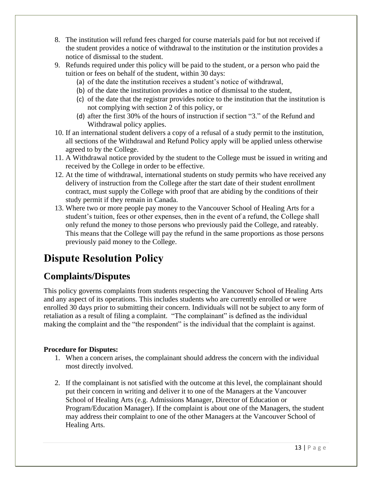- 8. The institution will refund fees charged for course materials paid for but not received if the student provides a notice of withdrawal to the institution or the institution provides a notice of dismissal to the student.
- 9. Refunds required under this policy will be paid to the student, or a person who paid the tuition or fees on behalf of the student, within 30 days:
	- (a) of the date the institution receives a student's notice of withdrawal,
	- (b) of the date the institution provides a notice of dismissal to the student,
	- (c) of the date that the registrar provides notice to the institution that the institution is not complying with section 2 of this policy, or
	- (d) after the first 30% of the hours of instruction if section "3." of the Refund and Withdrawal policy applies.
- 10. If an international student delivers a copy of a refusal of a study permit to the institution, all sections of the Withdrawal and Refund Policy apply will be applied unless otherwise agreed to by the College.
- 11. A Withdrawal notice provided by the student to the College must be issued in writing and received by the College in order to be effective.
- 12. At the time of withdrawal, international students on study permits who have received any delivery of instruction from the College after the start date of their student enrollment contract, must supply the College with proof that are abiding by the conditions of their study permit if they remain in Canada.
- 13. Where two or more people pay money to the Vancouver School of Healing Arts for a student's tuition, fees or other expenses, then in the event of a refund, the College shall only refund the money to those persons who previously paid the College, and rateably. This means that the College will pay the refund in the same proportions as those persons previously paid money to the College.

## <span id="page-15-0"></span>**Dispute Resolution Policy**

#### <span id="page-15-1"></span>**Complaints/Disputes**

This policy governs complaints from students respecting the Vancouver School of Healing Arts and any aspect of its operations. This includes students who are currently enrolled or were enrolled 30 days prior to submitting their concern. Individuals will not be subject to any form of retaliation as a result of filing a complaint. "The complainant" is defined as the individual making the complaint and the "the respondent" is the individual that the complaint is against.

#### **Procedure for Disputes:**

- 1. When a concern arises, the complainant should address the concern with the individual most directly involved.
- 2. If the complainant is not satisfied with the outcome at this level, the complainant should put their concern in writing and deliver it to one of the Managers at the Vancouver School of Healing Arts (e.g. Admissions Manager, Director of Education or Program/Education Manager). If the complaint is about one of the Managers, the student may address their complaint to one of the other Managers at the Vancouver School of Healing Arts.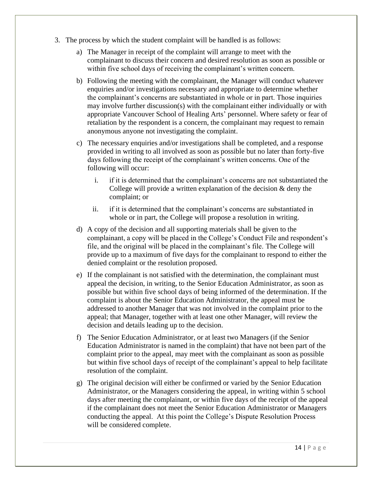- 3. The process by which the student complaint will be handled is as follows:
	- a) The Manager in receipt of the complaint will arrange to meet with the complainant to discuss their concern and desired resolution as soon as possible or within five school days of receiving the complainant's written concern.
	- b) Following the meeting with the complainant, the Manager will conduct whatever enquiries and/or investigations necessary and appropriate to determine whether the complainant's concerns are substantiated in whole or in part. Those inquiries may involve further discussion(s) with the complainant either individually or with appropriate Vancouver School of Healing Arts' personnel. Where safety or fear of retaliation by the respondent is a concern, the complainant may request to remain anonymous anyone not investigating the complaint.
	- c) The necessary enquiries and/or investigations shall be completed, and a response provided in writing to all involved as soon as possible but no later than forty-five days following the receipt of the complainant's written concerns. One of the following will occur:
		- i. if it is determined that the complainant's concerns are not substantiated the College will provide a written explanation of the decision  $\&$  deny the complaint; or
		- ii. if it is determined that the complainant's concerns are substantiated in whole or in part, the College will propose a resolution in writing.
	- d) A copy of the decision and all supporting materials shall be given to the complainant, a copy will be placed in the College's Conduct File and respondent's file, and the original will be placed in the complainant's file. The College will provide up to a maximum of five days for the complainant to respond to either the denied complaint or the resolution proposed.
	- e) If the complainant is not satisfied with the determination, the complainant must appeal the decision, in writing, to the Senior Education Administrator, as soon as possible but within five school days of being informed of the determination. If the complaint is about the Senior Education Administrator, the appeal must be addressed to another Manager that was not involved in the complaint prior to the appeal; that Manager, together with at least one other Manager, will review the decision and details leading up to the decision.
	- f) The Senior Education Administrator, or at least two Managers (if the Senior Education Administrator is named in the complaint) that have not been part of the complaint prior to the appeal, may meet with the complainant as soon as possible but within five school days of receipt of the complainant's appeal to help facilitate resolution of the complaint.
	- g) The original decision will either be confirmed or varied by the Senior Education Administrator, or the Managers considering the appeal, in writing within 5 school days after meeting the complainant, or within five days of the receipt of the appeal if the complainant does not meet the Senior Education Administrator or Managers conducting the appeal. At this point the College's Dispute Resolution Process will be considered complete.